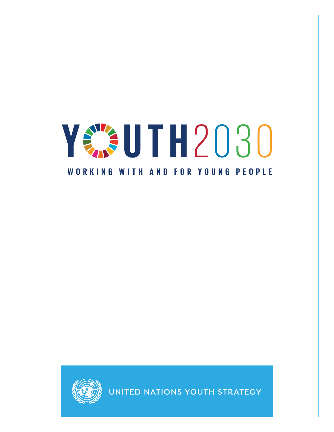## YE JUTH2030 WORKING WITH AND FOR YOUNG PEOPLE



**UNITED NATIONS YOUTH STRATEGY**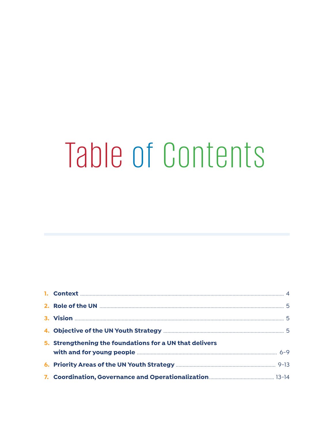# Table of Contents

| 5. Strengthening the foundations for a UN that delivers |  |
|---------------------------------------------------------|--|
|                                                         |  |
|                                                         |  |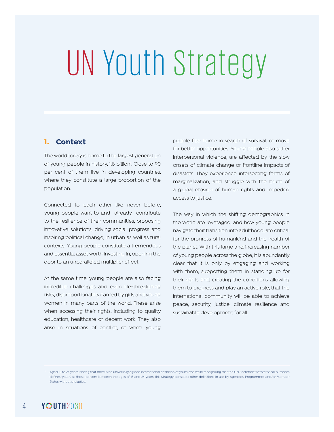# UN Youth Strategy

#### **1. Context**

The world today is home to the largest generation of young people in history, 1.8 billion<sup>1</sup>. Close to 90 per cent of them live in developing countries, where they constitute a large proportion of the population.

Connected to each other like never before, young people want to and already contribute to the resilience of their communities, proposing innovative solutions, driving social progress and inspiring political change, in urban as well as rural contexts. Young people constitute a tremendous and essential asset worth investing in, opening the door to an unparalleled multiplier effect.

At the same time, young people are also facing incredible challenges and even life-threatening risks, disproportionately carried by girls and young women in many parts of the world. These arise when accessing their rights, including to quality education, healthcare or decent work. They also arise in situations of conflict, or when young

people flee home in search of survival, or move for better opportunities. Young people also suffer interpersonal violence, are affected by the slow onsets of climate change or frontline impacts of disasters. They experience intersecting forms of marginalization, and struggle with the brunt of a global erosion of human rights and impeded access to justice.

The way in which the shifting demographics in the world are leveraged, and how young people navigate their transition into adulthood, are critical for the progress of humankind and the health of the planet. With this large and increasing number of young people across the globe, it is abundantly clear that it is only by engaging and working with them, supporting them in standing up for their rights and creating the conditions allowing them to progress and play an active role, that the international community will be able to achieve peace, security, justice, climate resilience and sustainable development for all.

Aged 10 to 24 years. Noting that there is no universally agreed international definition of youth and while recognizing that the UN Secretariat for statistical purposes defines 'youth' as those persons between the ages of 15 and 24 years, this Strategy considers other definitions in use by Agencies, Programmes and/or Member States without prejudice.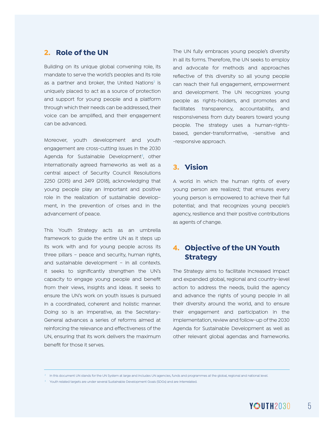#### **2. Role of the UN**

Building on its unique global convening role, its mandate to serve the world's peoples and its role as a partner and broker, the United Nations $^2$  is uniquely placed to act as a source of protection and support for young people and a platform through which their needs can be addressed, their voice can be amplified, and their engagement can be advanced.

Moreover, youth development and youth engagement are cross-cutting issues in the 2030 Agenda for Sustainable Development<sup>3</sup>, other internationally agreed frameworks as well as a central aspect of Security Council Resolutions 2250 (2015) and 2419 (2018), acknowledging that young people play an important and positive role in the realization of sustainable development, in the prevention of crises and in the advancement of peace.

This Youth Strategy acts as an umbrella framework to guide the entire UN as it steps up its work with and for young people across its three pillars – peace and security, human rights, and sustainable development – in all contexts. It seeks to significantly strengthen the UN's capacity to engage young people and benefit from their views, insights and ideas. It seeks to ensure the UN's work on youth issues is pursued in a coordinated, coherent and holistic manner. Doing so is an imperative, as the Secretary-General advances a series of reforms aimed at reinforcing the relevance and effectiveness of the UN, ensuring that its work delivers the maximum benefit for those it serves.

The UN fully embraces young people's diversity in all its forms. Therefore, the UN seeks to employ and advocate for methods and approaches reflective of this diversity so all young people can reach their full engagement, empowerment and development. The UN recognizes young people as rights-holders, and promotes and facilitates transparency, accountability, and responsiveness from duty bearers toward young people. The strategy uses a human-rightsbased, gender-transformative, -sensitive and -responsive approach.

#### **3. Vision**

A world in which the human rights of every young person are realized; that ensures every young person is empowered to achieve their full potential; and that recognizes young people's agency, resilience and their positive contributions as agents of change.

### **4. Objective of the UN Youth Strategy**

The Strategy aims to facilitate increased impact and expanded global, regional and country-level action to address the needs, build the agency and advance the rights of young people in all their diversity around the world, and to ensure their engagement and participation in the implementation, review and follow-up of the 2030 Agenda for Sustainable Development as well as other relevant global agendas and frameworks.

<sup>3</sup> Youth related targets are under several Sustainable Development Goals (SDGs) and are interrelated.

<sup>&</sup>lt;sup>2</sup> In this document UN stands for the UN System at large and includes UN agencies, funds and programmes at the global, regional and national level.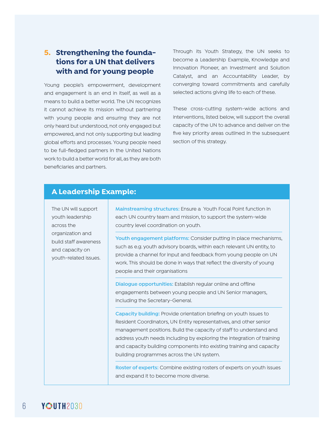### **5. Strengthening the foundations for a UN that delivers with and for young people**

Young people's empowerment, development and engagement is an end in itself, as well as a means to build a better world. The UN recognizes it cannot achieve its mission without partnering with young people and ensuring they are not only heard but understood, not only engaged but empowered, and not only supporting but leading global efforts and processes. Young people need to be full-fledged partners in the United Nations work to build a better world for all, as they are both beneficiaries and partners.

Through its Youth Strategy, the UN seeks to become a Leadership Example, Knowledge and Innovation Pioneer, an Investment and Solution Catalyst, and an Accountability Leader, by converging toward commitments and carefully selected actions giving life to each of these.

These cross-cutting system-wide actions and interventions, listed below, will support the overall capacity of the UN to advance and deliver on the five key priority areas outlined in the subsequent section of this strategy.

#### **A Leadership Example:**

The UN will support youth leadership across the organization and build staff awareness and capacity on youth-related issues.

**Mainstreaming structures:** Ensure a Youth Focal Point function in each UN country team and mission, to support the system-wide country level coordination on youth.

**Youth engagement platforms:** Consider putting in place mechanisms, such as e.g. youth advisory boards, within each relevant UN entity, to provide a channel for input and feedback from young people on UN work. This should be done in ways that reflect the diversity of young people and their organisations

**Dialogue opportunities:** Establish regular online and offline engagements between young people and UN Senior managers, including the Secretary-General.

**Capacity building:** Provide orientation briefing on youth issues to Resident Coordinators, UN Entity representatives, and other senior management positions. Build the capacity of staff to understand and address youth needs including by exploring the integration of training and capacity building components into existing training and capacity building programmes across the UN system.

**Roster of experts:** Combine existing rosters of experts on youth issues and expand it to become more diverse.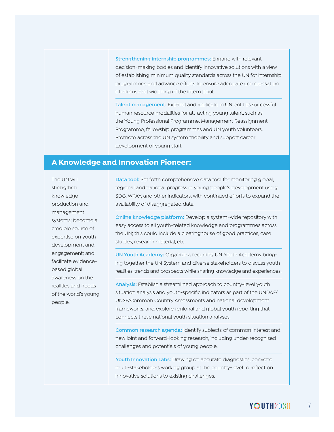**Strengthening internship programmes:** Engage with relevant decision-making bodies and identify innovative solutions with a view of establishing minimum quality standards across the UN for internship programmes and advance efforts to ensure adequate compensation of interns and widening of the intern pool.

**Talent management:** Expand and replicate in UN entities successful human resource modalities for attracting young talent, such as the Young Professional Programme, Management Reassignment Programme, fellowship programmes and UN youth volunteers. Promote across the UN system mobility and support career development of young staff.

#### **A Knowledge and Innovation Pioneer:**

The UN will strengthen knowledge production and management systems; become a credible source of expertise on youth development and engagement; and facilitate evidencebased global awareness on the realities and needs of the world's young people.

**Data tool:** Set forth comprehensive data tool for monitoring global, regional and national progress in young people's development using SDG, WPAY, and other indicators, with continued efforts to expand the availability of disaggregated data.

**Online knowledge platform:** Develop a system-wide repository with easy access to all youth-related knowledge and programmes across the UN; this could include a clearinghouse of good practices, case studies, research material, etc.

**UN Youth Academy:** Organize a recurring UN Youth Academy bringing together the UN System and diverse stakeholders to discuss youth realities, trends and prospects while sharing knowledge and experiences.

**Analysis:** Establish a streamlined approach to country-level youth situation analysis and youth-specific indicators as part of the UNDAF/ UNSF/Common Country Assessments and national development frameworks, and explore regional and global youth reporting that connects these national youth situation analyses.

**Common research agenda:** Identify subjects of common interest and new joint and forward-looking research, including under-recognised challenges and potentials of young people.

**Youth Innovation Labs:** Drawing on accurate diagnostics, convene multi-stakeholders working group at the country-level to reflect on innovative solutions to existing challenges.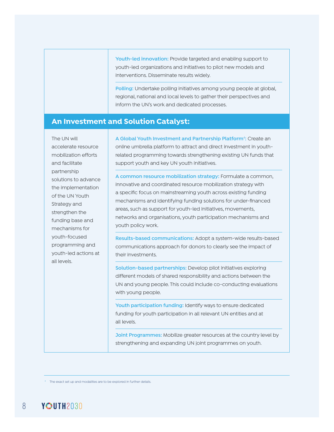**Youth-led innovation:** Provide targeted and enabling support to youth-led organizations and initiatives to pilot new models and interventions. Disseminate results widely.

**Polling:** Undertake polling initiatives among young people at global, regional, national and local levels to gather their perspectives and inform the UN's work and dedicated processes.

#### **An Investment and Solution Catalyst:**

The UN will accelerate resource mobilization efforts and facilitate partnership solutions to advance the implementation of the UN Youth Strategy and strengthen the funding base and mechanisms for youth-focused programming and youth-led actions at all levels.

**A Global Youth Investment and Partnership Platform**<sup>4</sup> **:** Create an online umbrella platform to attract and direct investment in youthrelated programming towards strengthening existing UN funds that support youth and key UN youth initiatives.

**A common resource mobilization strategy:** Formulate a common, innovative and coordinated resource mobilization strategy with a specific focus on mainstreaming youth across existing funding mechanisms and identifying funding solutions for under-financed areas, such as support for youth-led initiatives, movements, networks and organisations, youth participation mechanisms and youth policy work.

**Results-based communications:** Adopt a system-wide results-based communications approach for donors to clearly see the impact of their investments.

**Solution-based partnerships:** Develop pilot initiatives exploring different models of shared responsibility and actions between the UN and young people. This could include co-conducting evaluations with young people.

**Youth participation funding:** Identify ways to ensure dedicated funding for youth participation in all relevant UN entities and at all levels.

**Joint Programmes:** Mobilize greater resources at the country level by strengthening and expanding UN joint programmes on youth.

4 The exact set up and modalities are to be explored in further details.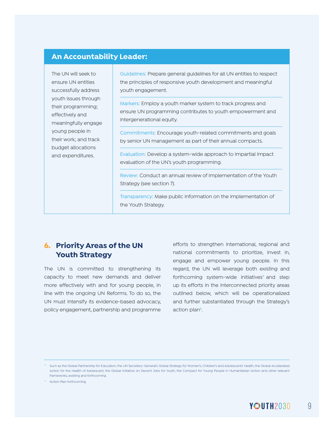#### **An Accountability Leader:**

The UN will seek to ensure UN entities successfully address youth issues through their programming; effectively and meaningfully engage young people in their work; and track budget allocations and expenditures.

Guidelines: Prepare general guidelines for all UN entities to respect the principles of responsive youth development and meaningful youth engagement.

Markers: Employ a youth marker system to track progress and ensure UN programming contributes to youth empowerment and intergenerational equity.

Commitments: Encourage youth-related commitments and goals by senior UN management as part of their annual compacts.

Evaluation: Develop a system-wide approach to impartial impact evaluation of the UN's youth programming.

Review: Conduct an annual review of implementation of the Youth Strategy (see section 7).

Transparency: Make public information on the implementation of the Youth Strategy.

### **6. Priority Areas of the UN Youth Strategy**

The UN is committed to strengthening its capacity to meet new demands and deliver more effectively with and for young people, in line with the ongoing UN Reforms. To do so, the UN must intensify its evidence-based advocacy, policy engagement, partnership and programme

efforts to strengthen international, regional and national commitments to prioritize, invest in, engage and empower young people. In this regard, the UN will leverage both existing and forthcoming system-wide initiatives<sup>5</sup> and step up its efforts in the interconnected priority areas outlined below, which will be operationalized and further substantiated through the Strategy's action plan<sup>6</sup>.

<sup>5</sup> Such as the Global Partnership for Education, the UN Secretary-General's Global Strategy for Women's, Children's and Adolescents' Health, the Global Accelerated Action for the Health of Adolescent, the Global Initiative on Decent Jobs for Youth, the Compact for Young People in Humanitarian Action and other relevant frameworks, existing and forthcoming.

<sup>6</sup> Action Plan forthcoming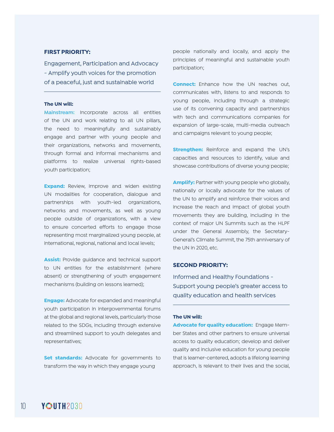#### **FIRST PRIORITY:**

Engagement, Participation and Advocacy - Amplify youth voices for the promotion of a peaceful, just and sustainable world

#### **The UN will:**

**Mainstream:** Incorporate across all entities of the UN and work relating to all UN pillars, the need to meaningfully and sustainably engage and partner with young people and their organizations, networks and movements, through formal and informal mechanisms and platforms to realize universal rights-based youth participation;

**Expand:** Review, improve and widen existing UN modalities for cooperation, dialogue and partnerships with youth-led organizations, networks and movements, as well as young people outside of organizations, with a view to ensure concerted efforts to engage those representing most marginalized young people, at international, regional, national and local levels;

**Assist:** Provide guidance and technical support to UN entities for the establishment (where absent) or strengthening of youth engagement mechanisms (building on lessons learned);

**Engage:** Advocate for expanded and meaningful youth participation in intergovernmental forums at the global and regional levels, particularly those related to the SDGs, including through extensive and streamlined support to youth delegates and representatives;

**Set standards:** Advocate for governments to transform the way in which they engage young

people nationally and locally, and apply the principles of meaningful and sustainable youth participation;

**Connect:** Enhance how the UN reaches out, communicates with, listens to and responds to young people, including through a strategic use of its convening capacity and partnerships with tech and communications companies for expansion of large-scale, multi-media outreach and campaigns relevant to young people;

**Strengthen:** Reinforce and expand the UN's capacities and resources to identify, value and showcase contributions of diverse young people;

**Amplify:** Partner with young people who globally, nationally or locally advocate for the values of the UN to amplify and reinforce their voices and increase the reach and impact of global youth movements they are building, including in the context of major UN Summits such as the HLPF under the General Assembly, the Secretary-General's Climate Summit, the 75th anniversary of the UN in 2020, etc.

#### **SECOND PRIORITY:**

Informed and Healthy Foundations - Support young people's greater access to quality education and health services

#### **The UN will:**

**Advocate for quality education:** Engage Member States and other partners to ensure universal access to quality education; develop and deliver quality and inclusive education for young people that is learner-centered, adopts a lifelong learning approach, is relevant to their lives and the social,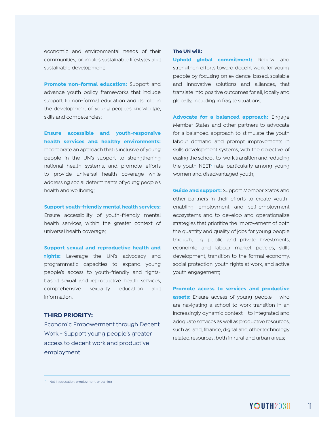economic and environmental needs of their communities, promotes sustainable lifestyles and sustainable development;

**Promote non-formal education:** Support and advance youth policy frameworks that include support to non-formal education and its role in the development of young people's knowledge, skills and competencies;

**Ensure accessible and youth-responsive health services and healthy environments:**  Incorporate an approach that is inclusive of young people in the UN's support to strengthening national health systems, and promote efforts to provide universal health coverage while addressing social determinants of young people's health and wellbeing;

**Support youth-friendly mental health services:** 

Ensure accessibility of youth-friendly mental health services, within the greater context of universal health coverage;

**Support sexual and reproductive health and rights:** Leverage the UN's advocacy and programmatic capacities to expand young people's access to youth-friendly and rightsbased sexual and reproductive health services, comprehensive sexuality education and information.

#### **THIRD PRIORITY:**

Economic Empowerment through Decent Work - Support young people's greater access to decent work and productive employment

#### **The UN will:**

**Uphold global commitment:** Renew and strengthen efforts toward decent work for young people by focusing on evidence-based, scalable and innovative solutions and alliances, that translate into positive outcomes for all, locally and globally, including in fragile situations;

**Advocate for a balanced approach:** Engage Member States and other partners to advocate for a balanced approach to stimulate the youth labour demand and prompt improvements in skills development systems, with the objective of easing the school-to-work transition and reducing the youth NEET<sup>7</sup> rate, particularly among young women and disadvantaged youth;

**Guide and support:** Support Member States and other partners in their efforts to create youthenabling employment and self-employment ecosystems and to develop and operationalize strategies that prioritize the improvement of both the quantity and quality of jobs for young people through, e.g. public and private investments, economic and labour market policies, skills development, transition to the formal economy, social protection, youth rights at work, and active youth engagement;

**Promote access to services and productive assets:** Ensure access of young people - who are navigating a school-to-work transition in an increasingly dynamic context - to integrated and adequate services as well as productive resources, such as land, finance, digital and other technology related resources, both in rural and urban areas;

<sup>7</sup> Not in education, employment, or training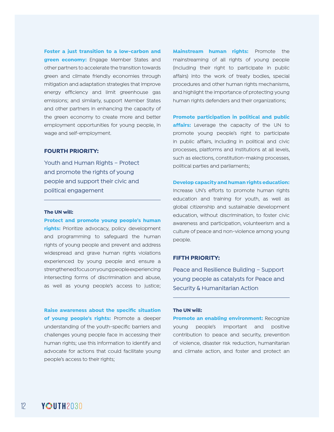**Foster a just transition to a low-carbon and green economy:** Engage Member States and other partners to accelerate the transition towards green and climate friendly economies through mitigation and adaptation strategies that improve energy efficiency and limit greenhouse gas emissions; and similarly, support Member States and other partners in enhancing the capacity of the green economy to create more and better employment opportunities for young people, in wage and self-employment.

#### **FOURTH PRIORITY:**

Youth and Human Rights – Protect and promote the rights of young people and support their civic and political engagement

#### **The UN will:**

**Protect and promote young people's human rights:** Prioritize advocacy, policy development and programming to safeguard the human rights of young people and prevent and address widespread and grave human rights violations experienced by young people and ensure a strengthened focus on young people experiencing intersecting forms of discrimination and abuse, as well as young people's access to justice;

**Raise awareness about the specific situation of young people's rights:** Promote a deeper understanding of the youth-specific barriers and challenges young people face in accessing their human rights; use this information to identify and advocate for actions that could facilitate young people's access to their rights;

**Mainstream human rights:** Promote the mainstreaming of all rights of young people (including their right to participate in public affairs) into the work of treaty bodies, special procedures and other human rights mechanisms, and highlight the importance of protecting young human rights defenders and their organizations;

**Promote participation in political and public affairs:** Leverage the capacity of the UN to promote young people's right to participate in public affairs, including in political and civic processes, platforms and institutions at all levels, such as elections, constitution-making processes, political parties and parliaments;

#### **Develop capacity and human rights education:**

Increase UN's efforts to promote human rights education and training for youth, as well as global citizenship and sustainable development education, without discrimination, to foster civic awareness and participation, volunteerism and a culture of peace and non-violence among young people.

#### **FIFTH PRIORITY:**

Peace and Resilience Building – Support young people as catalysts for Peace and Security & Humanitarian Action

#### **The UN will:**

**Promote an enabling environment: Recognize** young people's important and positive contribution to peace and security, prevention of violence, disaster risk reduction, humanitarian and climate action, and foster and protect an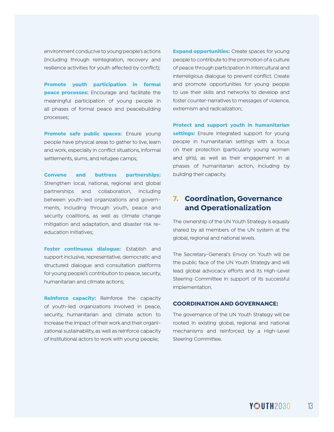environment conducive to young people's actions (including through reintegration, recovery and resilience activities for youth affected by conflict);

**Promote youth participation in formal peace processes:** Encourage and facilitate the meaningful participation of young people in all phases of formal peace and peacebuilding processes;

**Promote safe public spaces:** Ensure young people have physical areas to gather to live, learn and work, especially in conflict situations, informal settlements, slums, and refugee camps;

**Convene and buttress partnerships:**  Strengthen local, national, regional and global partnerships and collaboration, including between youth-led organizations and governments, including through youth, peace and security coalitions, as well as climate change mitigation and adaptation, and disaster risk reeducation initiatives;

**Foster continuous dialogue:** Establish and support inclusive, representative, democratic and structured dialogue and consultation platforms for young people's contribution to peace, security, humanitarian and climate actions;

**Reinforce capacity:** Reinforce the capacity of youth-led organizations involved in peace, security, humanitarian and climate action to increase the impact of their work and their organizational sustainability, as well as reinforce capacity of institutional actors to work with young people;

**Expand opportunities:** Create spaces for young people to contribute to the promotion of a culture of peace through participation in intercultural and interreligious dialogue to prevent conflict. Create and promote opportunities for young people to use their skills and networks to develop and foster counter-narratives to messages of violence, extremism and radicalization;

**Protect and support youth in humanitarian settings:** Ensure integrated support for young people in humanitarian settings with a focus on their protection (particularly young women and girls), as well as their engagement in al phases of humanitarian action, including by building their capacity.

#### **7. Coordination, Governance and Operationalization**

The ownership of the UN Youth Strategy is equally shared by all members of the UN system at the global, regional and national levels.

The Secretary-General's Envoy on Youth will be the public face of the UN Youth Strategy and will lead global advocacy efforts and its High-Level Steering Committee in support of its successful implementation.

#### **COORDINATION AND GOVERNANCE:**

The governance of the UN Youth Strategy will be rooted in existing global, regional and national mechanisms and reinforced by a High-Level Steering Committee.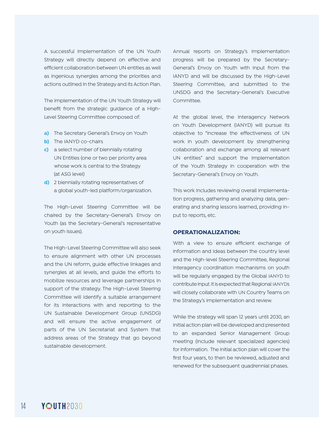A successful implementation of the UN Youth Strategy will directly depend on effective and efficient collaboration between UN entities as well as ingenious synergies among the priorities and actions outlined in the Strategy and its Action Plan.

The implementation of the UN Youth Strategy will benefit from the strategic guidance of a High-Level Steering Committee composed of:

- **a)** The Secretary General's Envoy on Youth
- **b)** The IANYD co-chairs
- **c)** a select number of biennially rotating UN Entities (one or two per priority area whose work is central to the Strategy (at ASG level)
- **d)** 2 biennially rotating representatives of a global youth-led platform/organization.

The High-Level Steering Committee will be chaired by the Secretary-General's Envoy on Youth (as the Secretary-General's representative on youth issues).

The High-Level Steering Committee will also seek to ensure alignment with other UN processes and the UN reform, guide effective linkages and synergies at all levels, and guide the efforts to mobilize resources and leverage partnerships in support of the strategy. The High-Level Steering Committee will identify a suitable arrangement for its interactions with and reporting to the UN Sustainable Development Group (UNSDG) and will ensure the active engagement of parts of the UN Secretariat and System that address areas of the Strategy that go beyond sustainable development.

Annual reports on Strategy's implementation progress will be prepared by the Secretary-General's Envoy on Youth with input from the IANYD and will be discussed by the High-Level Steering Committee, and submitted to the UNSDG and the Secretary-General's Executive Committee.

At the global level, the Interagency Network on Youth Development (IANYD) will pursue its objective to "increase the effectiveness of UN work in youth development by strengthening collaboration and exchange among all relevant UN entities" and support the implementation of the Youth Strategy in cooperation with the Secretary-General's Envoy on Youth.

This work includes reviewing overall implementation progress, gathering and analyzing data, generating and sharing lessons learned, providing input to reports, etc.

#### **OPERATIONALIZATION:**

With a view to ensure efficient exchange of information and ideas between the country level and the High-level Steering Committee, Regional Interagency coordination mechanisms on youth will be regularly engaged by the Global IANYD to contribute input. It is expected that Regional IANYDs will closely collaborate with UN Country Teams on the Strategy's implementation and review.

While the strategy will span 12 years until 2030, an initial action plan will be developed and presented to an expanded Senior Management Group meeting (include relevant specialized agencies) for information. The initial action plan will cover the first four years, to then be reviewed, adjusted and renewed for the subsequent quadrennial phases.